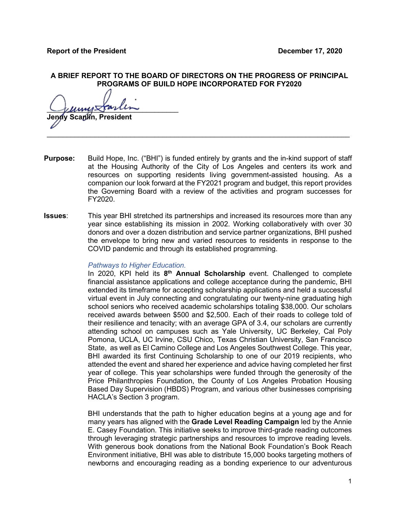# **A BRIEF REPORT TO THE BOARD OF DIRECTORS ON THE PROGRESS OF PRINCIPAL PROGRAMS OF BUILD HOPE INCORPORATED FOR FY2020**

 $L$ uny $\triangle$ arun Scanlin, President

**Purpose:** Build Hope, Inc. ("BHI") is funded entirely by grants and the in-kind support of staff at the Housing Authority of the City of Los Angeles and centers its work and resources on supporting residents living government-assisted housing. As a companion our look forward at the FY2021 program and budget, this report provides the Governing Board with a review of the activities and program successes for FY2020.

 $\mathcal{L}_\text{max}$  , and the set of the set of the set of the set of the set of the set of the set of the set of the set of the set of the set of the set of the set of the set of the set of the set of the set of the set of the

**Issues**: This year BHI stretched its partnerships and increased its resources more than any year since establishing its mission in 2002. Working collaboratively with over 30 donors and over a dozen distribution and service partner organizations, BHI pushed the envelope to bring new and varied resources to residents in response to the COVID pandemic and through its established programming.

## *Pathways to Higher Education.*

In 2020, KPI held its **8th Annual Scholarship** event. Challenged to complete financial assistance applications and college acceptance during the pandemic, BHI extended its timeframe for accepting scholarship applications and held a successful virtual event in July connecting and congratulating our twenty-nine graduating high school seniors who received academic scholarships totaling \$38,000. Our scholars received awards between \$500 and \$2,500. Each of their roads to college told of their resilience and tenacity; with an average GPA of 3.4, our scholars are currently attending school on campuses such as Yale University, UC Berkeley, Cal Poly Pomona, UCLA, UC Irvine, CSU Chico, Texas Christian University, San Francisco State, as well as El Camino College and Los Angeles Southwest College. This year, BHI awarded its first Continuing Scholarship to one of our 2019 recipients, who attended the event and shared her experience and advice having completed her first year of college. This year scholarships were funded through the generosity of the Price Philanthropies Foundation, the County of Los Angeles Probation Housing Based Day Supervision (HBDS) Program, and various other businesses comprising HACLA's Section 3 program.

BHI understands that the path to higher education begins at a young age and for many years has aligned with the **Grade Level Reading Campaign** led by the Annie E. Casey Foundation. This initiative seeks to improve third-grade reading outcomes through leveraging strategic partnerships and resources to improve reading levels. With generous book donations from the National Book Foundation's Book Reach Environment initiative, BHI was able to distribute 15,000 books targeting mothers of newborns and encouraging reading as a bonding experience to our adventurous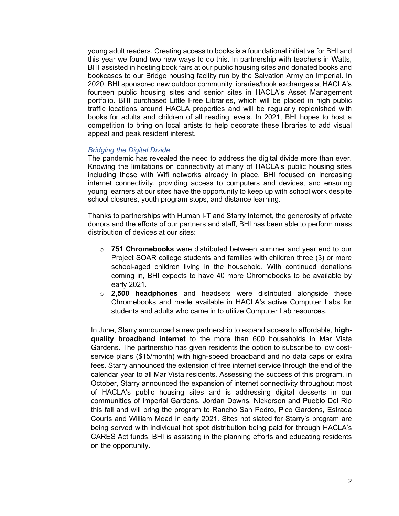young adult readers. Creating access to books is a foundational initiative for BHI and this year we found two new ways to do this. In partnership with teachers in Watts, BHI assisted in hosting book fairs at our public housing sites and donated books and bookcases to our Bridge housing facility run by the Salvation Army on Imperial. In 2020, BHI sponsored new outdoor community libraries/book exchanges at HACLA's fourteen public housing sites and senior sites in HACLA's Asset Management portfolio. BHI purchased Little Free Libraries, which will be placed in high public traffic locations around HACLA properties and will be regularly replenished with books for adults and children of all reading levels. In 2021, BHI hopes to host a competition to bring on local artists to help decorate these libraries to add visual appeal and peak resident interest.

#### *Bridging the Digital Divide.*

The pandemic has revealed the need to address the digital divide more than ever. Knowing the limitations on connectivity at many of HACLA's public housing sites including those with Wifi networks already in place, BHI focused on increasing internet connectivity, providing access to computers and devices, and ensuring young learners at our sites have the opportunity to keep up with school work despite school closures, youth program stops, and distance learning.

Thanks to partnerships with Human I-T and Starry Internet, the generosity of private donors and the efforts of our partners and staff, BHI has been able to perform mass distribution of devices at our sites:

- o **751 Chromebooks** were distributed between summer and year end to our Project SOAR college students and families with children three (3) or more school-aged children living in the household. With continued donations coming in, BHI expects to have 40 more Chromebooks to be available by early 2021.
- o **2,500 headphones** and headsets were distributed alongside these Chromebooks and made available in HACLA's active Computer Labs for students and adults who came in to utilize Computer Lab resources.

In June, Starry announced a new partnership to expand access to affordable, **highquality broadband internet** to the more than 600 households in Mar Vista Gardens. The partnership has given residents the option to subscribe to low costservice plans (\$15/month) with high-speed broadband and no data caps or extra fees. Starry announced the extension of free internet service through the end of the calendar year to all Mar Vista residents. Assessing the success of this program, in October, Starry announced the expansion of internet connectivity throughout most of HACLA's public housing sites and is addressing digital desserts in our communities of Imperial Gardens, Jordan Downs, Nickerson and Pueblo Del Rio this fall and will bring the program to Rancho San Pedro, Pico Gardens, Estrada Courts and William Mead in early 2021. Sites not slated for Starry's program are being served with individual hot spot distribution being paid for through HACLA's CARES Act funds. BHI is assisting in the planning efforts and educating residents on the opportunity.